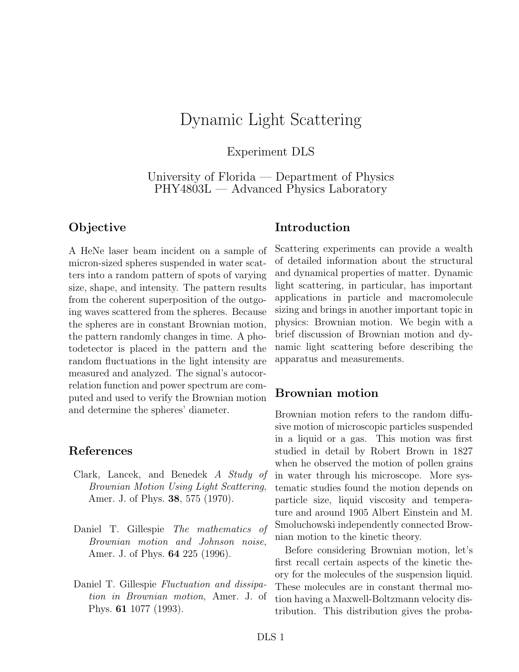# Dynamic Light Scattering

Experiment DLS

University of Florida — Department of Physics PHY4803L — Advanced Physics Laboratory

### **Objective**

A HeNe laser beam incident on a sample of micron-sized spheres suspended in water scatters into a random pattern of spots of varying size, shape, and intensity. The pattern results from the coherent superposition of the outgoing waves scattered from the spheres. Because the spheres are in constant Brownian motion, the pattern randomly changes in time. A photodetector is placed in the pattern and the random fluctuations in the light intensity are measured and analyzed. The signal's autocorrelation function and power spectrum are computed and used to verify the Brownian motion and determine the spheres' diameter.

#### **References**

- Clark, Lancek, and Benedek *A Study of Brownian Motion Using Light Scattering*, Amer. J. of Phys. **38**, 575 (1970).
- Daniel T. Gillespie *The mathematics of Brownian motion and Johnson noise*, Amer. J. of Phys. **64** 225 (1996).
- Daniel T. Gillespie *Fluctuation and dissipation in Brownian motion*, Amer. J. of Phys. **61** 1077 (1993).

#### **Introduction**

Scattering experiments can provide a wealth of detailed information about the structural and dynamical properties of matter. Dynamic light scattering, in particular, has important applications in particle and macromolecule sizing and brings in another important topic in physics: Brownian motion. We begin with a brief discussion of Brownian motion and dynamic light scattering before describing the apparatus and measurements.

### **Brownian motion**

Brownian motion refers to the random diffusive motion of microscopic particles suspended in a liquid or a gas. This motion was first studied in detail by Robert Brown in 1827 when he observed the motion of pollen grains in water through his microscope. More systematic studies found the motion depends on particle size, liquid viscosity and temperature and around 1905 Albert Einstein and M. Smoluchowski independently connected Brownian motion to the kinetic theory.

Before considering Brownian motion, let's first recall certain aspects of the kinetic theory for the molecules of the suspension liquid. These molecules are in constant thermal motion having a Maxwell-Boltzmann velocity distribution. This distribution gives the proba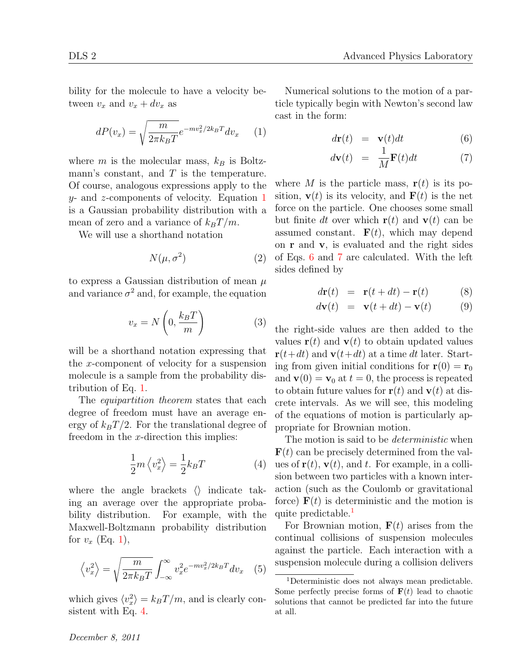bility for the molecule to have a velocity between  $v_x$  and  $v_x + dv_x$  as

$$
dP(v_x) = \sqrt{\frac{m}{2\pi k_B T}} e^{-mv_x^2/2k_B T} dv_x \qquad (1)
$$

where  $m$  is the molecular mass,  $k_B$  is Boltzmann's constant, and *T* is the temperature. Of course, analogous expressions apply to the *y*- and *z*-components of velocity. Equation 1 is a Gaussian probability distribution with a mean of zero and a variance of  $k_B T/m$ .

We will use a shorthand notation

$$
N(\mu, \sigma^2) \tag{2}
$$

to express a Gaussian distribution of mean *µ* and variance  $\sigma^2$  and, for example, the equation

$$
v_x = N\left(0, \frac{k_B T}{m}\right) \tag{3}
$$

will be a shorthand notation expressing that the *x*-component of velocity for a suspension molecule is a sample from the probability distribution of Eq. 1.

The *equipartition theorem* states that each degree of freedom must have an average energy of  $k_B T/2$ . For the translational degree of freedom in the *x*-direction this implies:

$$
\frac{1}{2}m\left\langle v_{x}^{2}\right\rangle =\frac{1}{2}k_{B}T\tag{4}
$$

where the angle brackets *⟨⟩* indicate taking an average over the appropriate probability distribution. For example, with the Maxwell-Boltzmann probability distribution for  $v_x$  (Eq. 1),

$$
\left\langle v_x^2 \right\rangle = \sqrt{\frac{m}{2\pi k_B T}} \int_{-\infty}^{\infty} v_x^2 e^{-mv_x^2/2k_B T} dv_x \quad (5)
$$

which gives  $\langle v_x^2 \rangle = k_B T/m$ , and is clearly consistent with Eq. 4.

Numerical solutions to the motion of a particle typically begin with Newton's second law cast in the form:

$$
d\mathbf{r}(t) = \mathbf{v}(t)dt \tag{6}
$$

$$
d\mathbf{v}(t) = \frac{1}{M}\mathbf{F}(t)dt \tag{7}
$$

where *M* is the particle mass,  $\mathbf{r}(t)$  is its position,  $\mathbf{v}(t)$  is its velocity, and  $\mathbf{F}(t)$  is the net force on the particle. One chooses some small but finite *dt* over which  $\mathbf{r}(t)$  and  $\mathbf{v}(t)$  can be assumed constant.  $\mathbf{F}(t)$ , which may depend on **r** and **v**, is evaluated and the right sides of Eqs. 6 and 7 are calculated. With the left sides defined by

$$
d\mathbf{r}(t) = \mathbf{r}(t+dt) - \mathbf{r}(t) \tag{8}
$$

$$
d\mathbf{v}(t) = \mathbf{v}(t+dt) - \mathbf{v}(t) \tag{9}
$$

the right-side values are then added to the values  $\mathbf{r}(t)$  and  $\mathbf{v}(t)$  to obtain updated values  $\mathbf{r}(t+dt)$  and  $\mathbf{v}(t+dt)$  at a time *dt* later. Starting from given initial conditions for  $\mathbf{r}(0) = \mathbf{r}_0$ and  $\mathbf{v}(0) = \mathbf{v}_0$  at  $t = 0$ , the process is repeated to obtain future values for  $\mathbf{r}(t)$  and  $\mathbf{v}(t)$  at discrete intervals. As we will see, this modeling of the equations of motion is particularly appropriate for Brownian motion.

The motion is said to be *deterministic* when  **can be precisely determined from the val**ues of  $\mathbf{r}(t)$ ,  $\mathbf{v}(t)$ , and *t*. For example, in a collision between two particles with a known interaction (such as the Coulomb or gravitational force)  $F(t)$  is deterministic and the motion is quite predictable.<sup>1</sup>

For Brownian motion, **F**(*t*) arises from the continual collisions of suspension molecules against the particle. Each interaction with a suspension molecule during a collision delivers

<sup>1</sup>Deterministic does not always mean predictable. Some perfectly precise forms of  $\mathbf{F}(t)$  lead to chaotic solutions that cannot be predicted far into the future at all.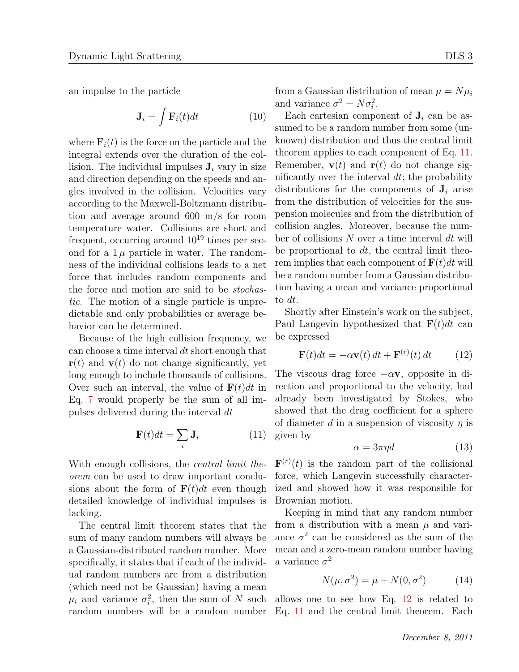an impulse to the particle

$$
\mathbf{J}_i = \int \mathbf{F}_i(t)dt \tag{10}
$$

where  $\mathbf{F}_i(t)$  is the force on the particle and the integral extends over the duration of the collision. The individual impulses  $J_i$  vary in size and direction depending on the speeds and angles involved in the collision. Velocities vary according to the Maxwell-Boltzmann distribution and average around 600 m/s for room temperature water. Collisions are short and frequent, occurring around  $10^{19}$  times per second for a  $1\mu$  particle in water. The randomness of the individual collisions leads to a net force that includes random components and the force and motion are said to be *stochastic.* The motion of a single particle is unpredictable and only probabilities or average behavior can be determined.

Because of the high collision frequency, we can choose a time interval *dt* short enough that  $\mathbf{r}(t)$  and  $\mathbf{v}(t)$  do not change significantly, yet long enough to include thousands of collisions. Over such an interval, the value of  $\mathbf{F}(t)dt$  in Eq. 7 would properly be the sum of all impulses delivered during the interval *dt*

$$
\mathbf{F}(t)dt = \sum_{i} \mathbf{J}_i \tag{11}
$$

With enough collisions, the *central limit theorem* can be used to draw important conclusions about the form of  $\mathbf{F}(t)dt$  even though detailed knowledge of individual impulses is lacking.

The central limit theorem states that the sum of many random numbers will always be a Gaussian-distributed random number. More specifically, it states that if each of the individual random numbers are from a distribution (which need not be Gaussian) having a mean  $\mu_i$  and variance  $\sigma_i^2$ , then the sum of *N* such allows one to see how Eq. 12 is related to

from a Gaussian distribution of mean  $\mu = N\mu_i$ and variance  $\sigma^2 = N \sigma_i^2$ .

Each cartesian component of  $J_i$  can be assumed to be a random number from some (unknown) distribution and thus the central limit theorem applies to each component of Eq. 11. Remember,  $\mathbf{v}(t)$  and  $\mathbf{r}(t)$  do not change significantly over the interval *dt*; the probability distributions for the components of  $J_i$  arise from the distribution of velocities for the suspension molecules and from the distribution of collision angles. Moreover, because the number of collisions *N* over a time interval *dt* will be proportional to *dt*, the central limit theorem implies that each component of  $\mathbf{F}(t)dt$  will be a random number from a Gaussian distribution having a mean and variance proportional to *dt*.

Shortly after Einstein's work on the subject, Paul Langevin hypothesized that  $\mathbf{F}(t)dt$  can be expressed

$$
\mathbf{F}(t)dt = -\alpha \mathbf{v}(t) dt + \mathbf{F}^{(r)}(t) dt \qquad (12)
$$

The viscous drag force *−α***v**, opposite in direction and proportional to the velocity, had already been investigated by Stokes, who showed that the drag coefficient for a sphere of diameter *d* in a suspension of viscosity *η* is given by

$$
\alpha = 3\pi \eta d \tag{13}
$$

 $\mathbf{F}^{(r)}(t)$  is the random part of the collisional force, which Langevin successfully characterized and showed how it was responsible for Brownian motion.

Keeping in mind that any random number from a distribution with a mean  $\mu$  and variance  $\sigma^2$  can be considered as the sum of the mean and a zero-mean random number having a variance  $\sigma^2$ 

$$
N(\mu, \sigma^2) = \mu + N(0, \sigma^2)
$$
 (14)

random numbers will be a random number Eq. 11 and the central limit theorem. Each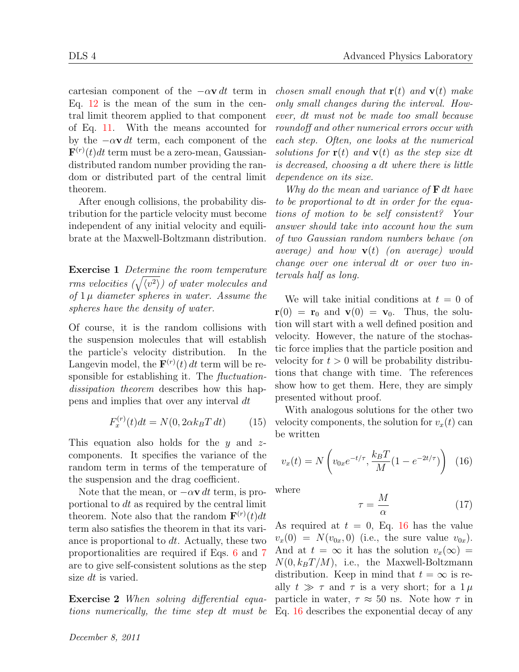cartesian component of the *−α***v** *dt* term in Eq. 12 is the mean of the sum in the central limit theorem applied to that component of Eq. 11. With the means accounted for by the  $-\alpha \mathbf{v} dt$  term, each component of the  $\mathbf{F}^{(r)}(t)dt$  term must be a zero-mean, Gaussiandistributed random number providing the random or distributed part of the central limit theorem.

After enough collisions, the probability distribution for the particle velocity must become independent of any initial velocity and equilibrate at the Maxwell-Boltzmann distribution.

**Exercise 1** *Determine the room temperature*  $rms\ velocities\ (\sqrt{{\langle v^2 \rangle}})\ of\ water\ molecules\ and$ *of* 1 *µ diameter spheres in water. Assume the spheres have the density of water.*

Of course, it is the random collisions with the suspension molecules that will establish the particle's velocity distribution. In the Langevin model, the  $\mathbf{F}^{(r)}(t) dt$  term will be responsible for establishing it. The *fluctuationdissipation theorem* describes how this happens and implies that over any interval *dt*

$$
F_x^{(r)}(t)dt = N(0, 2\alpha k_B T dt)
$$
 (15)

This equation also holds for the *y* and *z*components. It specifies the variance of the random term in terms of the temperature of the suspension and the drag coefficient.

Note that the mean, or  $-\alpha \mathbf{v} dt$  term, is proportional to *dt* as required by the central limit theorem. Note also that the random  $\mathbf{F}^{(r)}(t)dt$ term also satisfies the theorem in that its variance is proportional to *dt*. Actually, these two proportionalities are required if Eqs. 6 and 7 are to give self-consistent solutions as the step size *dt* is varied.

**Exercise 2** *When solving differential equations numerically, the time step dt must be*

*December 8, 2011*

*chosen small enough that* **r**(*t*) *and* **v**(*t*) *make only small changes during the interval. However, dt must not be made too small because roundoff and other numerical errors occur with each step. Often, one looks at the numerical solutions for*  $\mathbf{r}(t)$  *and*  $\mathbf{v}(t)$  *as the step size dt is decreased, choosing a dt where there is little dependence on its size.*

*Why do the mean and variance of* **F** *dt have to be proportional to dt in order for the equations of motion to be self consistent? Your answer should take into account how the sum of two Gaussian random numbers behave (on average) and how* **v**(*t*) *(on average) would change over one interval dt or over two intervals half as long.*

We will take initial conditions at  $t = 0$  of  $\mathbf{r}(0) = \mathbf{r}_0$  and  $\mathbf{v}(0) = \mathbf{v}_0$ . Thus, the solution will start with a well defined position and velocity. However, the nature of the stochastic force implies that the particle position and velocity for  $t > 0$  will be probability distributions that change with time. The references show how to get them. Here, they are simply presented without proof.

With analogous solutions for the other two velocity components, the solution for  $v_x(t)$  can be written

$$
v_x(t) = N\left(v_{0x}e^{-t/\tau}, \frac{k_BT}{M}(1 - e^{-2t/\tau})\right)
$$
 (16)

where

$$
\tau = \frac{M}{\alpha} \tag{17}
$$

As required at  $t = 0$ , Eq. 16 has the value  $v_x(0) = N(v_{0x}, 0)$  (i.e., the sure value  $v_{0x}$ ). And at  $t = \infty$  it has the solution  $v_x(\infty) =$  $N(0, k_B T/M)$ , i.e., the Maxwell-Boltzmann distribution. Keep in mind that  $t = \infty$  is really  $t \gg \tau$  and  $\tau$  is a very short; for a  $1 \mu$ particle in water,  $\tau \approx 50$  ns. Note how  $\tau$  in Eq. 16 describes the exponential decay of any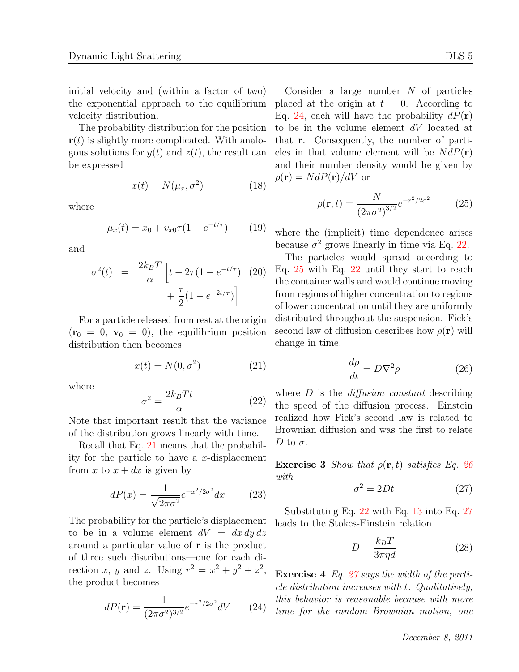initial velocity and (within a factor of two) the exponential approach to the equilibrium velocity distribution.

The probability distribution for the position **r**(*t*) is slightly more complicated. With analogous solutions for  $y(t)$  and  $z(t)$ , the result can be expressed

$$
x(t) = N(\mu_x, \sigma^2)
$$
 (18)

where

$$
\mu_x(t) = x_0 + v_{x0}\tau (1 - e^{-t/\tau}) \tag{19}
$$

and

$$
\sigma^{2}(t) = \frac{2k_{B}T}{\alpha} \left[ t - 2\tau (1 - e^{-t/\tau}) \right] \tag{20}
$$

$$
+ \frac{\tau}{2} (1 - e^{-2t/\tau})
$$

For a particle released from rest at the origin  $(\mathbf{r}_0 = 0, \mathbf{v}_0 = 0)$ , the equilibrium position distribution then becomes

$$
x(t) = N(0, \sigma^2)
$$
 (21)

where

$$
\sigma^2 = \frac{2k_B T t}{\alpha} \tag{22}
$$

Note that important result that the variance of the distribution grows linearly with time.

Recall that Eq. 21 means that the probability for the particle to have a *x*-displacement from x to  $x + dx$  is given by

$$
dP(x) = \frac{1}{\sqrt{2\pi\sigma^2}} e^{-x^2/2\sigma^2} dx \qquad (23)
$$

The probability for the particle's displacement to be in a volume element  $dV = dx dy dz$ around a particular value of **r** is the product of three such distributions—one for each direction *x*, *y* and *z*. Using  $r^2 = x^2 + y^2 + z^2$ , the product becomes

$$
dP(\mathbf{r}) = \frac{1}{(2\pi\sigma^2)^{3/2}}e^{-r^2/2\sigma^2}dV
$$
 (24)

Consider a large number *N* of particles placed at the origin at  $t = 0$ . According to Eq. 24, each will have the probability  $dP(\mathbf{r})$ to be in the volume element *dV* located at that **r**. Consequently, the number of particles in that volume element will be  $N dP(\mathbf{r})$ and their number density would be given by  $\rho(\mathbf{r}) = N dP(\mathbf{r})/dV$  or

$$
\rho(\mathbf{r},t) = \frac{N}{(2\pi\sigma^2)^{3/2}}e^{-r^2/2\sigma^2}
$$
 (25)

where the (implicit) time dependence arises because  $\sigma^2$  grows linearly in time via Eq. 22.

The particles would spread according to Eq. 25 with Eq. 22 until they start to reach the container walls and would continue moving from regions of higher concentration to regions of lower concentration until they are uniformly distributed throughout the suspension. Fick's second law of diffusion describes how  $\rho(\mathbf{r})$  will change in time.

$$
\frac{d\rho}{dt} = D\nabla^2 \rho \tag{26}
$$

where *D* is the *diffusion constant* describing the speed of the diffusion process. Einstein realized how Fick's second law is related to Brownian diffusion and was the first to relate *D* to  $\sigma$ .

**Exercise 3** *Show that*  $\rho(\mathbf{r}, t)$  *satisfies Eq.* 26 *with*

$$
\sigma^2 = 2Dt \tag{27}
$$

Substituting Eq. 22 with Eq. 13 into Eq. 27 leads to the Stokes-Einstein relation

$$
D = \frac{k_B T}{3\pi \eta d} \tag{28}
$$

**Exercise 4** *Eq. 27 says the width of the particle distribution increases with t. Qualitatively, this behavior is reasonable because with more time for the random Brownian motion, one*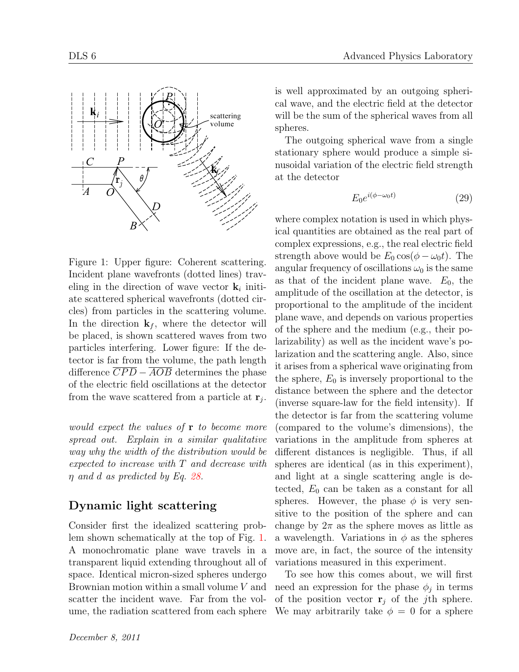

Figure 1: Upper figure: Coherent scattering. Incident plane wavefronts (dotted lines) traveling in the direction of wave vector  $\mathbf{k}_i$  initiate scattered spherical wavefronts (dotted circles) from particles in the scattering volume. In the direction  $\mathbf{k}_f$ , where the detector will be placed, is shown scattered waves from two particles interfering. Lower figure: If the detector is far from the volume, the path length difference *CP D − AOB* determines the phase of the electric field oscillations at the detector from the wave scattered from a particle at  $\mathbf{r}_j$ .

*would expect the values of* **r** *to become more spread out. Explain in a similar qualitative way why the width of the distribution would be expected to increase with T and decrease with η and d as predicted by Eq. 28.*

### **Dynamic light scattering**

Consider first the idealized scattering problem shown schematically at the top of Fig. 1. A monochromatic plane wave travels in a transparent liquid extending throughout all of space. Identical micron-sized spheres undergo Brownian motion within a small volume *V* and scatter the incident wave. Far from the volume, the radiation scattered from each sphere is well approximated by an outgoing spherical wave, and the electric field at the detector will be the sum of the spherical waves from all spheres.

The outgoing spherical wave from a single stationary sphere would produce a simple sinusoidal variation of the electric field strength at the detector

$$
E_0 e^{i(\phi - \omega_0 t)} \tag{29}
$$

where complex notation is used in which physical quantities are obtained as the real part of complex expressions, e.g., the real electric field strength above would be  $E_0 \cos(\phi - \omega_0 t)$ . The angular frequency of oscillations  $\omega_0$  is the same as that of the incident plane wave.  $E_0$ , the amplitude of the oscillation at the detector, is proportional to the amplitude of the incident plane wave, and depends on various properties of the sphere and the medium (e.g., their polarizability) as well as the incident wave's polarization and the scattering angle. Also, since it arises from a spherical wave originating from the sphere,  $E_0$  is inversely proportional to the distance between the sphere and the detector (inverse square-law for the field intensity). If the detector is far from the scattering volume (compared to the volume's dimensions), the variations in the amplitude from spheres at different distances is negligible. Thus, if all spheres are identical (as in this experiment), and light at a single scattering angle is detected, *E*<sup>0</sup> can be taken as a constant for all spheres. However, the phase  $\phi$  is very sensitive to the position of the sphere and can change by  $2\pi$  as the sphere moves as little as a wavelength. Variations in  $\phi$  as the spheres move are, in fact, the source of the intensity variations measured in this experiment.

To see how this comes about, we will first need an expression for the phase  $\phi_j$  in terms of the position vector  $\mathbf{r}_i$  of the *j*th sphere. We may arbitrarily take  $\phi = 0$  for a sphere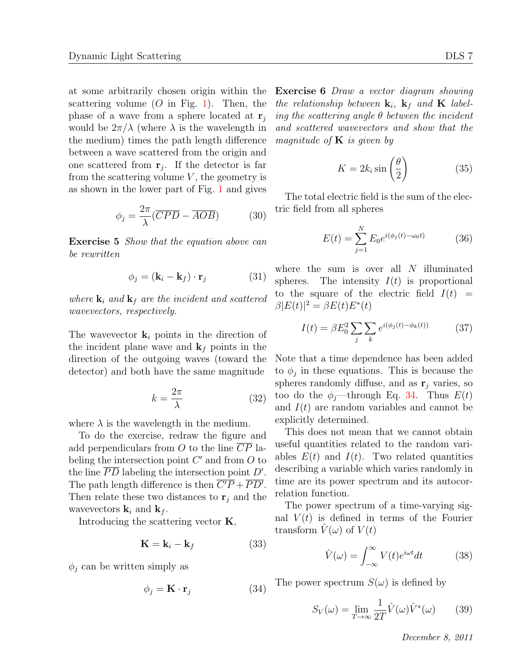at some arbitrarily chosen origin within the scattering volume  $(O \text{ in Fig. 1}).$  Then, the phase of a wave from a sphere located at  $\mathbf{r}_i$ would be  $2\pi/\lambda$  (where  $\lambda$  is the wavelength in the medium) times the path length difference between a wave scattered from the origin and one scattered from  $\mathbf{r}_j$ . If the detector is far from the scattering volume  $V$ , the geometry is as shown in the lower part of Fig. 1 and gives

$$
\phi_j = \frac{2\pi}{\lambda} (\overline{CPD} - \overline{AOB}) \tag{30}
$$

**Exercise 5** *Show that the equation above can be rewritten*

$$
\phi_j = (\mathbf{k}_i - \mathbf{k}_f) \cdot \mathbf{r}_j \tag{31}
$$

*where*  $\mathbf{k}_i$  *and*  $\mathbf{k}_f$  *are the incident and scattered wavevectors, respectively.*

The wavevector  $\mathbf{k}_i$  points in the direction of the incident plane wave and  $\mathbf{k}_f$  points in the direction of the outgoing waves (toward the detector) and both have the same magnitude

$$
k = \frac{2\pi}{\lambda} \tag{32}
$$

where  $\lambda$  is the wavelength in the medium.

To do the exercise, redraw the figure and add perpendiculars from *O* to the line *CP* labeling the intersection point *C ′* and from *O* to the line *PD* labeling the intersection point *D′* . The path length difference is then  $\overline{C'P} + \overline{PD'}$ . Then relate these two distances to  $\mathbf{r}_i$  and the wavevectors  $\mathbf{k}_i$  and  $\mathbf{k}_f$ .

Introducing the scattering vector **K**,

$$
\mathbf{K} = \mathbf{k}_i - \mathbf{k}_f \tag{33}
$$

 $\phi_j$  can be written simply as

$$
\phi_j = \mathbf{K} \cdot \mathbf{r}_j \tag{34}
$$

**Exercise 6** *Draw a vector diagram showing the relationship between*  $\mathbf{k}_i$ ,  $\mathbf{k}_f$  *and*  $\mathbf{K}$  *labeling the scattering angle θ between the incident and scattered wavevectors and show that the magnitude of* **K** *is given by*

$$
K = 2k_i \sin\left(\frac{\theta}{2}\right) \tag{35}
$$

The total electric field is the sum of the electric field from all spheres

$$
E(t) = \sum_{j=1}^{N} E_0 e^{i(\phi_j(t) - \omega_0 t)}
$$
 (36)

where the sum is over all *N* illuminated spheres. The intensity  $I(t)$  is proportional to the square of the electric field  $I(t)$  =  $\beta |E(t)|^2 = \beta E(t) E^*(t)$ 

$$
I(t) = \beta E_0^2 \sum_j \sum_k e^{i(\phi_j(t) - \phi_k(t))} \tag{37}
$$

Note that a time dependence has been added to  $\phi_j$  in these equations. This is because the spheres randomly diffuse, and as  $\mathbf{r}_i$  varies, so too do the  $\phi_j$ —through Eq. 34. Thus  $E(t)$ and *I*(*t*) are random variables and cannot be explicitly determined.

This does not mean that we cannot obtain useful quantities related to the random variables  $E(t)$  and  $I(t)$ . Two related quantities describing a variable which varies randomly in time are its power spectrum and its autocorrelation function.

The power spectrum of a time-varying signal  $V(t)$  is defined in terms of the Fourier transform  $V(\omega)$  of  $V(t)$ 

$$
\hat{V}(\omega) = \int_{-\infty}^{\infty} V(t)e^{i\omega t}dt
$$
\n(38)

The power spectrum  $S(\omega)$  is defined by

$$
S_V(\omega) = \lim_{T \to \infty} \frac{1}{2T} \hat{V}(\omega) \hat{V}^*(\omega) \qquad (39)
$$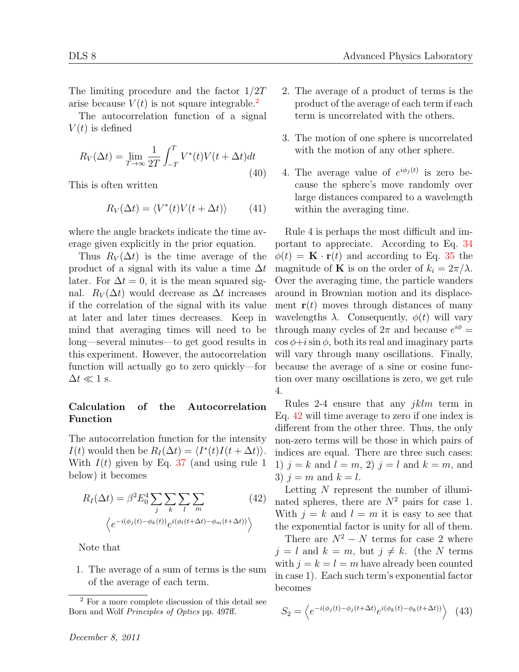The limiting procedure and the factor 1*/*2*T* arise because  $V(t)$  is not square integrable.<sup>2</sup>

The autocorrelation function of a signal  $V(t)$  is defined

$$
R_V(\Delta t) = \lim_{T \to \infty} \frac{1}{2T} \int_{-T}^{T} V^*(t) V(t + \Delta t) dt
$$
\n(40)

This is often written

$$
R_V(\Delta t) = \langle V^*(t)V(t + \Delta t) \rangle \tag{41}
$$

where the angle brackets indicate the time average given explicitly in the prior equation.

Thus  $R_V(\Delta t)$  is the time average of the product of a signal with its value a time ∆*t* later. For  $\Delta t = 0$ , it is the mean squared signal.  $R_V(\Delta t)$  would decrease as  $\Delta t$  increases if the correlation of the signal with its value at later and later times decreases. Keep in mind that averaging times will need to be long—several minutes—to get good results in this experiment. However, the autocorrelation function will actually go to zero quickly—for  $\Delta t \ll 1$  s.

#### **Calculation of the Autocorrelation Function**

The autocorrelation function for the intensity  $I(t)$  would then be  $R_I(\Delta t) = \langle I^*(t)I(t + \Delta t) \rangle$ . With *I*(*t*) given by Eq. 37 (and using rule 1 below) it becomes

$$
R_I(\Delta t) = \beta^2 E_0^4 \sum_j \sum_k \sum_l \sum_m \left(42\right)
$$

$$
\left\langle e^{-i(\phi_j(t) - \phi_k(t))} e^{i(\phi_l(t + \Delta t) - \phi_m(t + \Delta t))} \right\rangle
$$

Note that

1. The average of a sum of terms is the sum of the average of each term.

*December 8, 2011*

- 2. The average of a product of terms is the product of the average of each term if each term is uncorrelated with the others.
- 3. The motion of one sphere is uncorrelated with the motion of any other sphere.
- 4. The average value of  $e^{i\phi_j(t)}$  is zero because the sphere's move randomly over large distances compared to a wavelength within the averaging time.

Rule 4 is perhaps the most difficult and important to appreciate. According to Eq. 34  $\phi(t) = \mathbf{K} \cdot \mathbf{r}(t)$  and according to Eq. 35 the magnitude of **K** is on the order of  $k_i = 2\pi/\lambda$ . Over the averaging time, the particle wanders around in Brownian motion and its displacement  $\mathbf{r}(t)$  moves through distances of many wavelengths  $\lambda$ . Consequently,  $\phi(t)$  will vary through many cycles of  $2\pi$  and because  $e^{i\phi}$  =  $\cos \phi + i \sin \phi$ , both its real and imaginary parts will vary through many oscillations. Finally, because the average of a sine or cosine function over many oscillations is zero, we get rule 4.

Rules 2-4 ensure that any *jklm* term in Eq. 42 will time average to zero if one index is different from the other three. Thus, the only non-zero terms will be those in which pairs of indices are equal. There are three such cases: 1)  $j = k$  and  $l = m, 2$   $j = l$  and  $k = m$ , and 3)  $i = m$  and  $k = l$ .

Letting *N* represent the number of illuminated spheres, there are  $N^2$  pairs for case 1. With  $j = k$  and  $l = m$  it is easy to see that the exponential factor is unity for all of them.

There are  $N^2 - N$  terms for case 2 where  $j = l$  and  $k = m$ , but  $j \neq k$ . (the *N* terms with  $j = k = l = m$  have already been counted in case 1). Each such term's exponential factor becomes

$$
S_2 = \left\langle e^{-i(\phi_j(t) - \phi_j(t + \Delta t)} e^{i(\phi_k(t) - \phi_k(t + \Delta t))} \right\rangle \tag{43}
$$

<sup>2</sup> For a more complete discussion of this detail see Born and Wolf *Principles of Optics* pp. 497ff.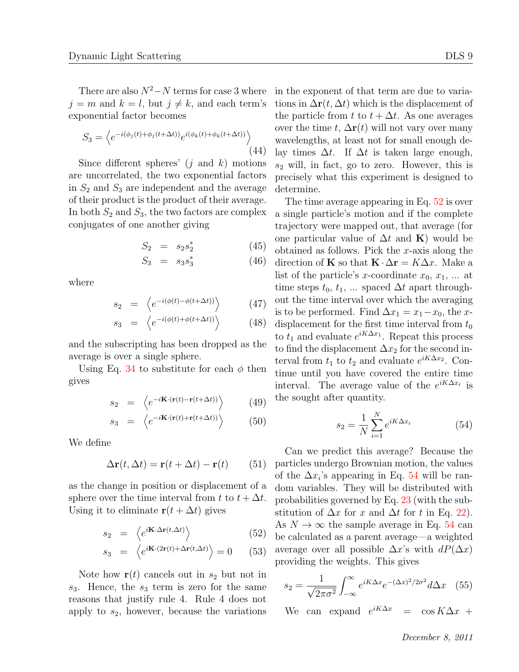There are also  $N^2$ − $N$  terms for case 3 where  $j = m$  and  $k = l$ , but  $j \neq k$ , and each term's exponential factor becomes

$$
S_3 = \left\langle e^{-i(\phi_j(t) + \phi_j(t + \Delta t))} e^{i(\phi_k(t) + \phi_k(t + \Delta t))} \right\rangle
$$
\n(44)

Since different spheres' (*j* and *k*) motions are uncorrelated, the two exponential factors in  $S_2$  and  $S_3$  are independent and the average of their product is the product of their average. In both  $S_2$  and  $S_3$ , the two factors are complex conjugates of one another giving

$$
S_2 = s_2 s_2^* \tag{45}
$$

$$
S_3 = s_3 s_3^* \t\t(46)
$$

where

$$
s_2 = \left\langle e^{-i(\phi(t) - \phi(t + \Delta t))} \right\rangle \tag{47}
$$

$$
s_3 = \left\langle e^{-i(\phi(t) + \phi(t + \Delta t))} \right\rangle \tag{48}
$$

and the subscripting has been dropped as the average is over a single sphere.

Using Eq. 34 to substitute for each  $\phi$  then gives

$$
s_2 = \left\langle e^{-i\mathbf{K}\cdot(\mathbf{r}(t) - \mathbf{r}(t + \Delta t))} \right\rangle \tag{49}
$$

$$
s_3 = \left\langle e^{-i\mathbf{K}\cdot(\mathbf{r}(t) + \mathbf{r}(t+\Delta t))} \right\rangle \tag{50}
$$

We define

$$
\Delta \mathbf{r}(t, \Delta t) = \mathbf{r}(t + \Delta t) - \mathbf{r}(t) \qquad (51)
$$

as the change in position or displacement of a sphere over the time interval from  $t$  to  $t + \Delta t$ . Using it to eliminate  $\mathbf{r}(t + \Delta t)$  gives

$$
s_2 = \left\langle e^{i\mathbf{K}\cdot\Delta\mathbf{r}(t,\Delta t)} \right\rangle \tag{52}
$$

$$
s_3 = \left\langle e^{i\mathbf{K} \cdot (2\mathbf{r}(t) + \Delta \mathbf{r}(t, \Delta t))} \right\rangle = 0 \quad (53)
$$

Note how  $\mathbf{r}(t)$  cancels out in  $s_2$  but not in *s*3. Hence, the *s*<sup>3</sup> term is zero for the same reasons that justify rule 4. Rule 4 does not apply to *s*2, however, because the variations in the exponent of that term are due to variations in  $\Delta \mathbf{r}(t, \Delta t)$  which is the displacement of the particle from *t* to  $t + \Delta t$ . As one averages over the time *t*,  $\Delta \mathbf{r}(t)$  will not vary over many wavelengths, at least not for small enough delay times  $\Delta t$ . If  $\Delta t$  is taken large enough,  $s_2$  will, in fact, go to zero. However, this is precisely what this experiment is designed to determine.

The time average appearing in Eq. 52 is over a single particle's motion and if the complete trajectory were mapped out, that average (for one particular value of  $\Delta t$  and **K**) would be obtained as follows. Pick the *x*-axis along the direction of **K** so that  $\mathbf{K} \cdot \Delta \mathbf{r} = K \Delta x$ . Make a list of the particle's *x*-coordinate  $x_0, x_1, \ldots$  at time steps  $t_0, t_1, \ldots$  spaced  $\Delta t$  apart throughout the time interval over which the averaging is to be performed. Find  $\Delta x_1 = x_1 - x_0$ , the *x*displacement for the first time interval from  $t_0$ to  $t_1$  and evaluate  $e^{iK\Delta x_1}$ . Repeat this process to find the displacement  $\Delta x_2$  for the second interval from  $t_1$  to  $t_2$  and evaluate  $e^{iK\Delta x_2}$ . Continue until you have covered the entire time interval. The average value of the  $e^{iK\Delta x_i}$  is the sought after quantity.

$$
s_2 = \frac{1}{N} \sum_{i=1}^{N} e^{iK\Delta x_i}
$$
 (54)

Can we predict this average? Because the particles undergo Brownian motion, the values of the  $\Delta x_i$ 's appearing in Eq. 54 will be random variables. They will be distributed with probabilities governed by Eq. 23 (with the substitution of  $\Delta x$  for *x* and  $\Delta t$  for *t* in Eq. 22). As  $N \to \infty$  the sample average in Eq. 54 can be calculated as a parent average—a weighted average over all possible  $\Delta x$ 's with  $dP(\Delta x)$ providing the weights. This gives

$$
s_2 = \frac{1}{\sqrt{2\pi\sigma^2}} \int_{-\infty}^{\infty} e^{iK\Delta x} e^{-(\Delta x)^2/2\sigma^2} d\Delta x \quad (55)
$$

We can expand  $e^{iK\Delta x}$  $\cos K\Delta x +$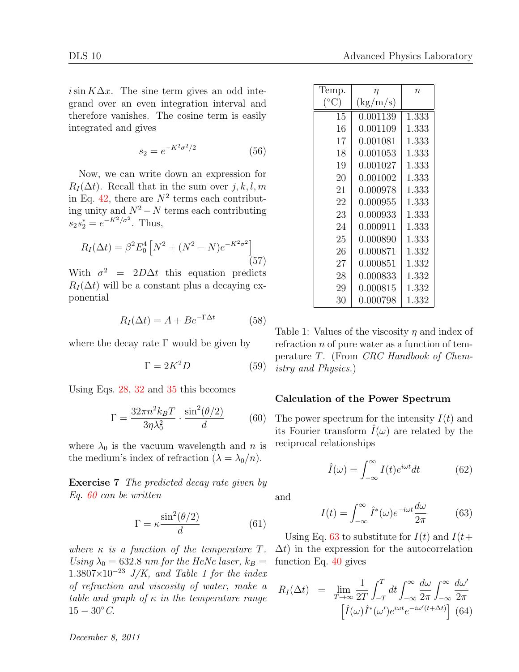$i\sin K\Delta x$ . The sine term gives an odd integrand over an even integration interval and therefore vanishes. The cosine term is easily integrated and gives

$$
s_2 = e^{-K^2 \sigma^2/2} \tag{56}
$$

Now, we can write down an expression for  $R_I(\Delta t)$ . Recall that in the sum over  $j, k, l, m$ in Eq.  $42$ , there are  $N^2$  terms each contributing unity and  $N^2$  −  $N$  terms each contributing  $s_2 s_2^* = e^{-K^2/\sigma^2}$ . Thus,

$$
R_I(\Delta t) = \beta^2 E_0^4 \left[ N^2 + (N^2 - N)e^{-K^2 \sigma^2} \right] \tag{57}
$$

With  $\sigma^2 = 2D\Delta t$  this equation predicts  $R_I(\Delta t)$  will be a constant plus a decaying exponential

$$
R_I(\Delta t) = A + B e^{-\Gamma \Delta t} \tag{58}
$$

where the decay rate  $\Gamma$  would be given by

$$
\Gamma = 2K^2 D \tag{59}
$$

Using Eqs. 28, 32 and 35 this becomes

$$
\Gamma = \frac{32\pi n^2 k_B T}{3\eta \lambda_0^2} \cdot \frac{\sin^2(\theta/2)}{d} \tag{60}
$$

where  $\lambda_0$  is the vacuum wavelength and *n* is the medium's index of refraction  $(\lambda = \lambda_0/n)$ .

**Exercise 7** *The predicted decay rate given by Eq. 60 can be written*

$$
\Gamma = \kappa \frac{\sin^2(\theta/2)}{d} \tag{61}
$$

*where*  $\kappa$  *is a function of the temperature*  $T$ *. Using*  $\lambda_0 = 632.8$  *nm for the HeNe laser,*  $k_B =$ <sup>1</sup>*.*3807*×*10*−*<sup>23</sup> *J/K, and Table 1 for the index of refraction and viscosity of water, make a table and graph of κ in the temperature range*  $15 - 30^{\circ} C.$ 

| Temp. | $\eta$   | $n$   |
|-------|----------|-------|
| (°C)  | (kg/m/s) | 1.333 |
| 15    | 0.001139 | 1.333 |
| 16    | 0.001081 | 1.333 |
| 17    | 0.001081 | 1.333 |
| 18    | 0.001053 | 1.333 |
| 19    | 0.001027 | 1.333 |
| 20    | 0.001002 | 1.333 |
| 21    | 0.000978 | 1.333 |
| 22    | 0.000955 | 1.333 |
| 23    | 0.000955 | 1.333 |
| 24    | 0.000933 | 1.333 |
| 25    | 0.000890 | 1.333 |
| 26    | 0.000871 | 1.332 |
| 27    | 0.000851 | 1.332 |
| 28    | 0.000833 | 1.332 |
| 29    | 0.000815 | 1.332 |
| 30    | 0.000798 | 1.332 |

Table 1: Values of the viscosity *η* and index of refraction *n* of pure water as a function of temperature *T*. (From *CRC Handbook of Chemistry and Physics.*)

#### **Calculation of the Power Spectrum**

The power spectrum for the intensity *I*(*t*) and its Fourier transform  $I(\omega)$  are related by the reciprocal relationships

$$
\hat{I}(\omega) = \int_{-\infty}^{\infty} I(t)e^{i\omega t}dt
$$
\n(62)

and

$$
I(t) = \int_{-\infty}^{\infty} \hat{I}^*(\omega) e^{-i\omega t} \frac{d\omega}{2\pi}
$$
 (63)

Using Eq. 63 to substitute for  $I(t)$  and  $I(t+$  $\Delta t$ ) in the expression for the autocorrelation function Eq. 40 gives

$$
R_I(\Delta t) = \lim_{T \to \infty} \frac{1}{2T} \int_{-T}^{T} dt \int_{-\infty}^{\infty} \frac{d\omega}{2\pi} \int_{-\infty}^{\infty} \frac{d\omega'}{2\pi}
$$

$$
\left[ \hat{I}(\omega) \hat{I}^*(\omega') e^{i\omega t} e^{-i\omega'(t+\Delta t)} \right] (64)
$$

*December 8, 2011*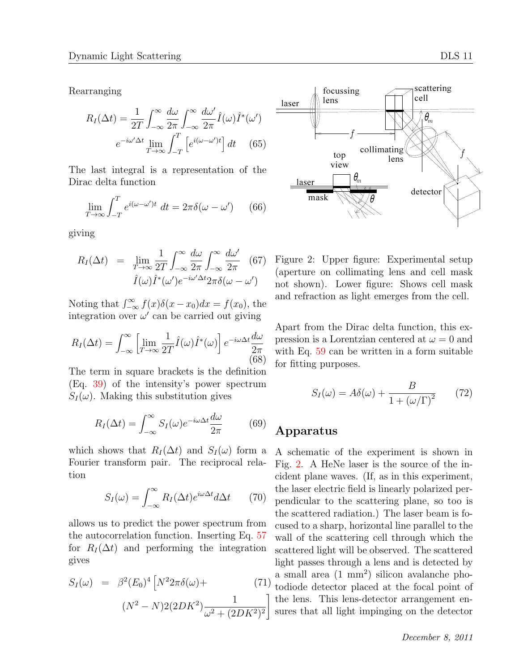Rearranging

$$
R_I(\Delta t) = \frac{1}{2T} \int_{-\infty}^{\infty} \frac{d\omega}{2\pi} \int_{-\infty}^{\infty} \frac{d\omega'}{2\pi} \hat{I}(\omega) \hat{I}^*(\omega')
$$

$$
e^{-i\omega'\Delta t} \lim_{T \to \infty} \int_{-T}^T \left[ e^{i(\omega - \omega')t} \right] dt \quad (65)
$$

The last integral is a representation of the Dirac delta function

$$
\lim_{T \to \infty} \int_{-T}^{T} e^{i(\omega - \omega')t} dt = 2\pi \delta(\omega - \omega') \qquad (66)
$$

giving

$$
R_I(\Delta t) = \lim_{T \to \infty} \frac{1}{2T} \int_{-\infty}^{\infty} \frac{d\omega}{2\pi} \int_{-\infty}^{\infty} \frac{d\omega'}{2\pi} (67)
$$

$$
\hat{I}(\omega) \hat{I}^*(\omega') e^{-i\omega'\Delta t} 2\pi \delta(\omega - \omega')
$$

Noting that  $\int_{-\infty}^{\infty} f(x)\delta(x-x_0)dx = f(x_0)$ , the integration over  $\omega'$  can be carried out giving

$$
R_I(\Delta t) = \int_{-\infty}^{\infty} \left[ \lim_{T \to \infty} \frac{1}{2T} \hat{I}(\omega) \hat{I}^*(\omega) \right] e^{-i\omega \Delta t} \frac{d\omega}{2\pi}
$$
(68)

The term in square brackets is the definition (Eq. 39) of the intensity's power spectrum  $S_I(\omega)$ . Making this substitution gives

$$
R_I(\Delta t) = \int_{-\infty}^{\infty} S_I(\omega) e^{-i\omega \Delta t} \frac{d\omega}{2\pi}
$$
 (69)

which shows that  $R_I(\Delta t)$  and  $S_I(\omega)$  form a Fourier transform pair. The reciprocal relation

$$
S_I(\omega) = \int_{-\infty}^{\infty} R_I(\Delta t) e^{i\omega \Delta t} d\Delta t \qquad (70)
$$

allows us to predict the power spectrum from the autocorrelation function. Inserting Eq. 57 for  $R_I(\Delta t)$  and performing the integration gives

$$
S_I(\omega) = \beta^2 (E_0)^4 \left[ N^2 2\pi \delta(\omega) + (71) \left( N^2 - N \right) 2(2DK^2) \frac{1}{\omega^2 + (2DK^2)^2} \right]
$$



Figure 2: Upper figure: Experimental setup (aperture on collimating lens and cell mask not shown). Lower figure: Shows cell mask and refraction as light emerges from the cell.

Apart from the Dirac delta function, this expression is a Lorentzian centered at  $\omega = 0$  and with Eq. 59 can be written in a form suitable for fitting purposes.

$$
S_I(\omega) = A\delta(\omega) + \frac{B}{1 + (\omega/\Gamma)^2} \qquad (72)
$$

### **Apparatus**

A schematic of the experiment is shown in Fig. 2. A HeNe laser is the source of the incident plane waves. (If, as in this experiment, the laser electric field is linearly polarized perpendicular to the scattering plane, so too is the scattered radiation.) The laser beam is focused to a sharp, horizontal line parallel to the wall of the scattering cell through which the scattered light will be observed. The scattered light passes through a lens and is detected by a small area (1 mm<sup>2</sup> ) silicon avalanche photodiode detector placed at the focal point of the lens. This lens-detector arrangement ensures that all light impinging on the detector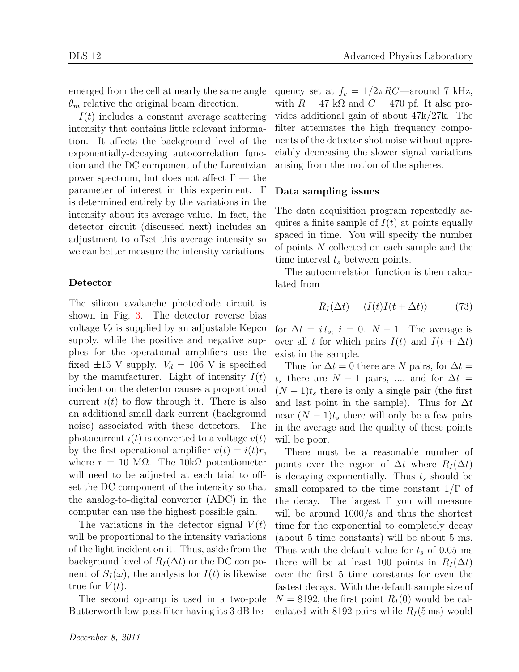emerged from the cell at nearly the same angle  $\theta_m$  relative the original beam direction.

*I*(*t*) includes a constant average scattering intensity that contains little relevant information. It affects the background level of the exponentially-decaying autocorrelation function and the DC component of the Lorentzian power spectrum, but does not affect  $\Gamma$  — the parameter of interest in this experiment. Γ is determined entirely by the variations in the intensity about its average value. In fact, the detector circuit (discussed next) includes an adjustment to offset this average intensity so we can better measure the intensity variations.

#### **Detector**

The silicon avalanche photodiode circuit is shown in Fig. 3. The detector reverse bias voltage  $V_d$  is supplied by an adjustable Kepco supply, while the positive and negative supplies for the operational amplifiers use the fixed  $\pm 15$  V supply.  $V_d = 106$  V is specified by the manufacturer. Light of intensity  $I(t)$ incident on the detector causes a proportional current  $i(t)$  to flow through it. There is also an additional small dark current (background noise) associated with these detectors. The photocurrent  $i(t)$  is converted to a voltage  $v(t)$ by the first operational amplifier  $v(t) = i(t)r$ , where  $r = 10$  M $\Omega$ . The 10k $\Omega$  potentiometer will need to be adjusted at each trial to offset the DC component of the intensity so that the analog-to-digital converter (ADC) in the computer can use the highest possible gain.

The variations in the detector signal  $V(t)$ will be proportional to the intensity variations of the light incident on it. Thus, aside from the background level of  $R_I(\Delta t)$  or the DC component of  $S_I(\omega)$ , the analysis for  $I(t)$  is likewise true for  $V(t)$ .

The second op-amp is used in a two-pole Butterworth low-pass filter having its 3 dB frequency set at  $f_c = 1/2\pi RC$ —around 7 kHz, with  $R = 47$  k $\Omega$  and  $C = 470$  pf. It also provides additional gain of about 47k/27k. The filter attenuates the high frequency components of the detector shot noise without appreciably decreasing the slower signal variations arising from the motion of the spheres.

#### **Data sampling issues**

The data acquisition program repeatedly acquires a finite sample of  $I(t)$  at points equally spaced in time. You will specify the number of points *N* collected on each sample and the time interval *t<sup>s</sup>* between points.

The autocorrelation function is then calculated from

$$
R_I(\Delta t) = \langle I(t)I(t + \Delta t) \rangle \tag{73}
$$

for  $\Delta t = i t_s$ ,  $i = 0...N - 1$ . The average is over all *t* for which pairs  $I(t)$  and  $I(t + \Delta t)$ exist in the sample.

Thus for  $\Delta t = 0$  there are *N* pairs, for  $\Delta t =$  $t_s$  there are  $N-1$  pairs, ..., and for  $\Delta t =$  $(N-1)t<sub>s</sub>$  there is only a single pair (the first and last point in the sample). Thus for  $\Delta t$ near  $(N-1)t<sub>s</sub>$  there will only be a few pairs in the average and the quality of these points will be poor.

There must be a reasonable number of points over the region of  $\Delta t$  where  $R_I(\Delta t)$ is decaying exponentially. Thus *t<sup>s</sup>* should be small compared to the time constant 1*/*Γ of the decay. The largest  $\Gamma$  you will measure will be around  $1000/s$  and thus the shortest time for the exponential to completely decay (about 5 time constants) will be about 5 ms. Thus with the default value for  $t_s$  of 0.05 ms there will be at least 100 points in  $R_I(\Delta t)$ over the first 5 time constants for even the fastest decays. With the default sample size of  $N = 8192$ , the first point  $R_I(0)$  would be calculated with 8192 pairs while  $R_I(5 \text{ ms})$  would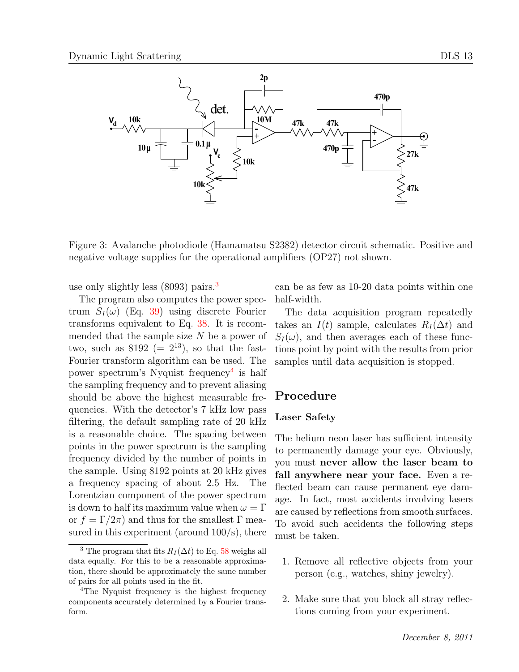

Figure 3: Avalanche photodiode (Hamamatsu S2382) detector circuit schematic. Positive and negative voltage supplies for the operational amplifiers (OP27) not shown.

use only slightly less (8093) pairs.<sup>3</sup>

The program also computes the power spectrum  $S_I(\omega)$  (Eq. 39) using discrete Fourier transforms equivalent to Eq. 38. It is recommended that the sample size *N* be a power of two, such as  $8192 (= 2^{13})$ , so that the fast-Fourier transform algorithm can be used. The power spectrum's Nyquist frequency<sup>4</sup> is half the sampling frequency and to prevent aliasing should be above the highest measurable frequencies. With the detector's 7 kHz low pass filtering, the default sampling rate of 20 kHz is a reasonable choice. The spacing between points in the power spectrum is the sampling frequency divided by the number of points in the sample. Using 8192 points at 20 kHz gives a frequency spacing of about 2.5 Hz. The Lorentzian component of the power spectrum is down to half its maximum value when  $\omega = \Gamma$ or  $f = \Gamma/2\pi$  and thus for the smallest  $\Gamma$  measured in this experiment (around  $100/s$ ), there

can be as few as 10-20 data points within one half-width.

The data acquisition program repeatedly takes an *I*(*t*) sample, calculates  $R_I(\Delta t)$  and  $S_I(\omega)$ , and then averages each of these functions point by point with the results from prior samples until data acquisition is stopped.

### **Procedure**

#### **Laser Safety**

The helium neon laser has sufficient intensity to permanently damage your eye. Obviously, you must **never allow the laser beam to fall anywhere near your face.** Even a reflected beam can cause permanent eye damage. In fact, most accidents involving lasers are caused by reflections from smooth surfaces. To avoid such accidents the following steps must be taken.

- 1. Remove all reflective objects from your person (e.g., watches, shiny jewelry).
- 2. Make sure that you block all stray reflections coming from your experiment.

<sup>&</sup>lt;sup>3</sup> The program that fits  $R_I(\Delta t)$  to Eq. 58 weighs all data equally. For this to be a reasonable approximation, there should be approximately the same number of pairs for all points used in the fit.

<sup>&</sup>lt;sup>4</sup>The Nyquist frequency is the highest frequency components accurately determined by a Fourier transform.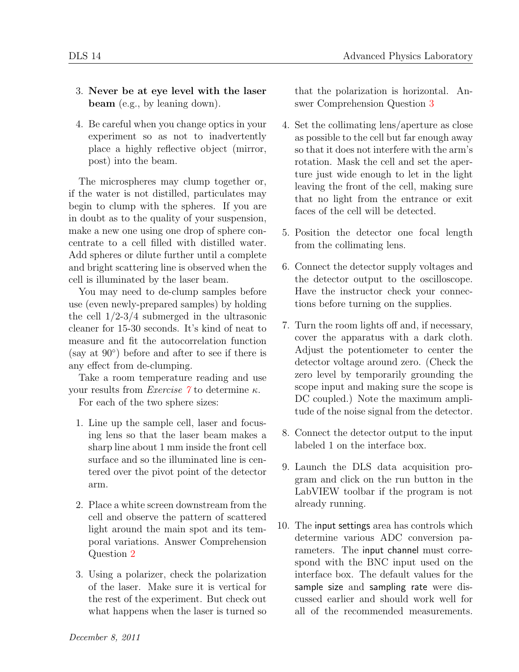- 3. **Never be at eye level with the laser beam** (e.g., by leaning down).
- 4. Be careful when you change optics in your experiment so as not to inadvertently place a highly reflective object (mirror, post) into the beam.

The microspheres may clump together or, if the water is not distilled, particulates may begin to clump with the spheres. If you are in doubt as to the quality of your suspension, make a new one using one drop of sphere concentrate to a cell filled with distilled water. Add spheres or dilute further until a complete and bright scattering line is observed when the cell is illuminated by the laser beam.

You may need to de-clump samples before use (even newly-prepared samples) by holding the cell  $1/2-3/4$  submerged in the ultrasonic cleaner for 15-30 seconds. It's kind of neat to measure and fit the autocorrelation function (say at 90*◦* ) before and after to see if there is any effect from de-clumping.

Take a room temperature reading and use your results from *Exercise 7* to determine *κ*.

For each of the two sphere sizes:

- 1. Line up the sample cell, laser and focusing lens so that the laser beam makes a sharp line about 1 mm inside the front cell surface and so the illuminated line is centered over the pivot point of the detector arm.
- 2. Place a white screen downstream from the cell and observe the pattern of scattered light around the main spot and its temporal variations. Answer Comprehension Question 2
- 3. Using a polarizer, check the polarization of the laser. Make sure it is vertical for the rest of the experiment. But check out what happens when the laser is turned so

that the polarization is horizontal. Answer Comprehension Question 3

- 4. Set the collimating lens/aperture as close as possible to the cell but far enough away so that it does not interfere with the arm's rotation. Mask the cell and set the aperture just wide enough to let in the light leaving the front of the cell, making sure that no light from the entrance or exit faces of the cell will be detected.
- 5. Position the detector one focal length from the collimating lens.
- 6. Connect the detector supply voltages and the detector output to the oscilloscope. Have the instructor check your connections before turning on the supplies.
- 7. Turn the room lights off and, if necessary, cover the apparatus with a dark cloth. Adjust the potentiometer to center the detector voltage around zero. (Check the zero level by temporarily grounding the scope input and making sure the scope is DC coupled.) Note the maximum amplitude of the noise signal from the detector.
- 8. Connect the detector output to the input labeled 1 on the interface box.
- 9. Launch the DLS data acquisition program and click on the run button in the LabVIEW toolbar if the program is not already running.
- 10. The input settings area has controls which determine various ADC conversion parameters. The input channel must correspond with the BNC input used on the interface box. The default values for the sample size and sampling rate were discussed earlier and should work well for all of the recommended measurements.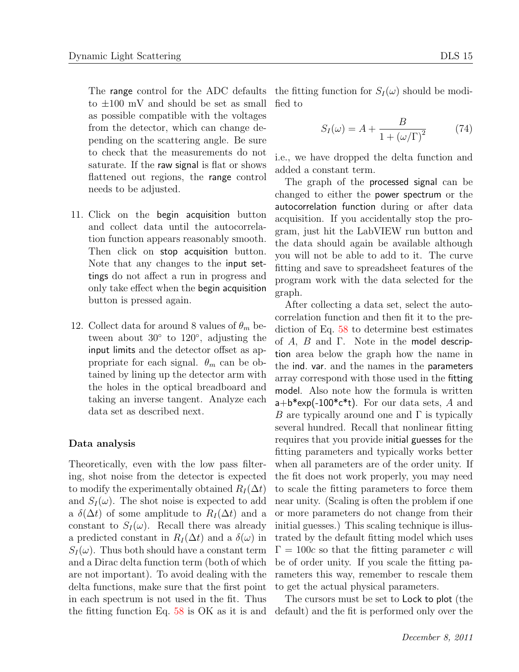to *±*100 mV and should be set as small as possible compatible with the voltages from the detector, which can change depending on the scattering angle. Be sure to check that the measurements do not saturate. If the raw signal is flat or shows flattened out regions, the range control needs to be adjusted.

- 11. Click on the begin acquisition button and collect data until the autocorrelation function appears reasonably smooth. Then click on stop acquisition button. Note that any changes to the input settings do not affect a run in progress and only take effect when the begin acquisition button is pressed again.
- 12. Collect data for around 8 values of  $\theta_m$  between about 30*◦* to 120*◦* , adjusting the input limits and the detector offset as appropriate for each signal.  $\theta_m$  can be obtained by lining up the detector arm with the holes in the optical breadboard and taking an inverse tangent. Analyze each data set as described next.

#### **Data analysis**

Theoretically, even with the low pass filtering, shot noise from the detector is expected to modify the experimentally obtained  $R_I(\Delta t)$ and  $S_I(\omega)$ . The shot noise is expected to add a  $\delta(\Delta t)$  of some amplitude to  $R_I(\Delta t)$  and a constant to  $S_I(\omega)$ . Recall there was already a predicted constant in  $R_I(\Delta t)$  and a  $\delta(\omega)$  in  $S_I(\omega)$ . Thus both should have a constant term and a Dirac delta function term (both of which are not important). To avoid dealing with the delta functions, make sure that the first point in each spectrum is not used in the fit. Thus

The range control for the ADC defaults the fitting function for  $S_I(\omega)$  should be modified to

$$
S_I(\omega) = A + \frac{B}{1 + (\omega/\Gamma)^2} \tag{74}
$$

i.e., we have dropped the delta function and added a constant term.

The graph of the processed signal can be changed to either the power spectrum or the autocorrelation function during or after data acquisition. If you accidentally stop the program, just hit the LabVIEW run button and the data should again be available although you will not be able to add to it. The curve fitting and save to spreadsheet features of the program work with the data selected for the graph.

After collecting a data set, select the autocorrelation function and then fit it to the prediction of Eq. 58 to determine best estimates of *A*, *B* and Γ. Note in the model description area below the graph how the name in the ind. var. and the names in the parameters array correspond with those used in the fitting model. Also note how the formula is written a+b\*exp(-100\*c\*t). For our data sets, *A* and *B* are typically around one and Γ is typically several hundred. Recall that nonlinear fitting requires that you provide initial guesses for the fitting parameters and typically works better when all parameters are of the order unity. If the fit does not work properly, you may need to scale the fitting parameters to force them near unity. (Scaling is often the problem if one or more parameters do not change from their initial guesses.) This scaling technique is illustrated by the default fitting model which uses  $\Gamma = 100c$  so that the fitting parameter *c* will be of order unity. If you scale the fitting parameters this way, remember to rescale them to get the actual physical parameters.

the fitting function Eq. 58 is OK as it is and default) and the fit is performed only over the The cursors must be set to Lock to plot (the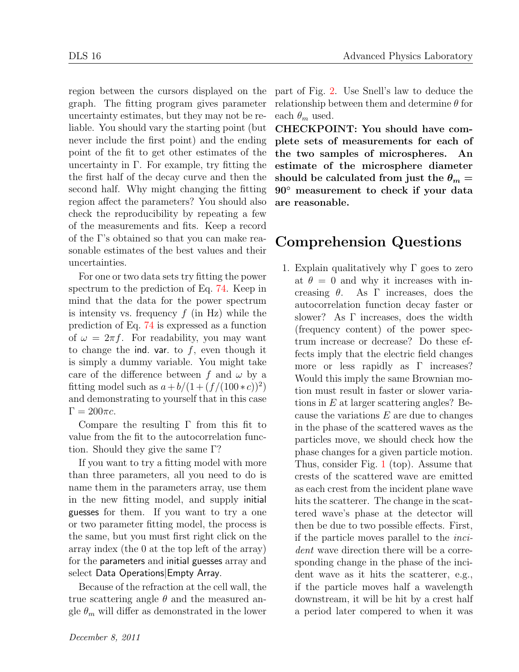region between the cursors displayed on the graph. The fitting program gives parameter uncertainty estimates, but they may not be reliable. You should vary the starting point (but never include the first point) and the ending point of the fit to get other estimates of the uncertainty in  $\Gamma$ . For example, try fitting the the first half of the decay curve and then the second half. Why might changing the fitting region affect the parameters? You should also check the reproducibility by repeating a few of the measurements and fits. Keep a record of the Γ's obtained so that you can make reasonable estimates of the best values and their uncertainties.

For one or two data sets try fitting the power spectrum to the prediction of Eq. 74. Keep in mind that the data for the power spectrum is intensity vs. frequency *f* (in Hz) while the prediction of Eq. 74 is expressed as a function of  $\omega = 2\pi f$ . For readability, you may want to change the ind. var. to *f*, even though it is simply a dummy variable. You might take care of the difference between  $f$  and  $\omega$  by a fitting model such as  $a + b/(1 + (f/(100 * c))^2)$ and demonstrating to yourself that in this case  $\Gamma = 200\pi c$ .

Compare the resulting Γ from this fit to value from the fit to the autocorrelation function. Should they give the same Γ?

If you want to try a fitting model with more than three parameters, all you need to do is name them in the parameters array, use them in the new fitting model, and supply initial guesses for them. If you want to try a one or two parameter fitting model, the process is the same, but you must first right click on the array index (the 0 at the top left of the array) for the parameters and initial guesses array and select Data Operations*|*Empty Array.

Because of the refraction at the cell wall, the true scattering angle *θ* and the measured angle  $\theta_m$  will differ as demonstrated in the lower

part of Fig. 2. Use Snell's law to deduce the relationship between them and determine *θ* for each  $\theta_m$  used.

**CHECKPOINT: You should have complete sets of measurements for each of the two samples of microspheres. An estimate of the microsphere diameter** should be calculated from just the  $\theta_m =$ **90***◦* **measurement to check if your data are reasonable.**

## **Comprehension Questions**

1. Explain qualitatively why  $\Gamma$  goes to zero at  $\theta = 0$  and why it increases with increasing *θ*. As Γ increases, does the autocorrelation function decay faster or slower? As Γ increases, does the width (frequency content) of the power spectrum increase or decrease? Do these effects imply that the electric field changes more or less rapidly as Γ increases? Would this imply the same Brownian motion must result in faster or slower variations in *E* at larger scattering angles? Because the variations *E* are due to changes in the phase of the scattered waves as the particles move, we should check how the phase changes for a given particle motion. Thus, consider Fig. 1 (top). Assume that crests of the scattered wave are emitted as each crest from the incident plane wave hits the scatterer. The change in the scattered wave's phase at the detector will then be due to two possible effects. First, if the particle moves parallel to the *incident* wave direction there will be a corresponding change in the phase of the incident wave as it hits the scatterer, e.g., if the particle moves half a wavelength downstream, it will be hit by a crest half a period later compered to when it was